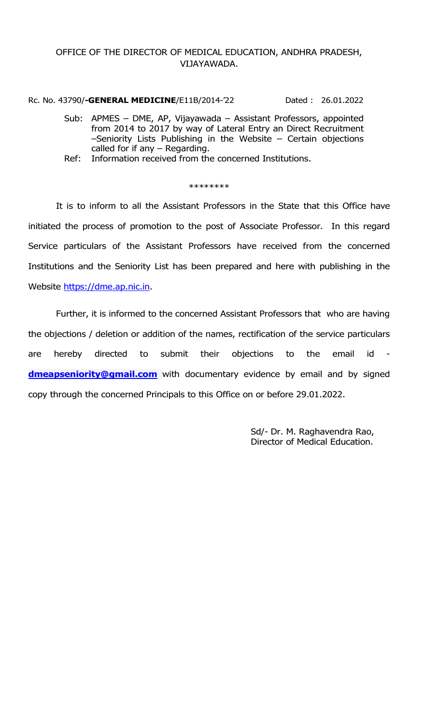## OFFICE OF THE DIRECTOR OF MEDICAL EDUCATION, ANDHRA PRADESH, VIJAYAWADA.

Rc. No. 43790/-GENERAL MEDICINE/E11B/2014-'22 Dated : 26.01.2022

- Sub: APMES DME, AP, Vijayawada Assistant Professors, appointed from 2014 to 2017 by way of Lateral Entry an Direct Recruitment –Seniority Lists Publishing in the Website – Certain objections called for if any – Regarding.
- Ref: Information received from the concerned Institutions.

## \*\*\*\*\*\*\*\*

 It is to inform to all the Assistant Professors in the State that this Office have initiated the process of promotion to the post of Associate Professor. In this regard Service particulars of the Assistant Professors have received from the concerned Institutions and the Seniority List has been prepared and here with publishing in the Website https://dme.ap.nic.in.

 Further, it is informed to the concerned Assistant Professors that who are having the objections / deletion or addition of the names, rectification of the service particulars are hereby directed to submit their objections to the email id dmeapseniority@gmail.com with documentary evidence by email and by signed copy through the concerned Principals to this Office on or before 29.01.2022.

> Sd/- Dr. M. Raghavendra Rao, Director of Medical Education.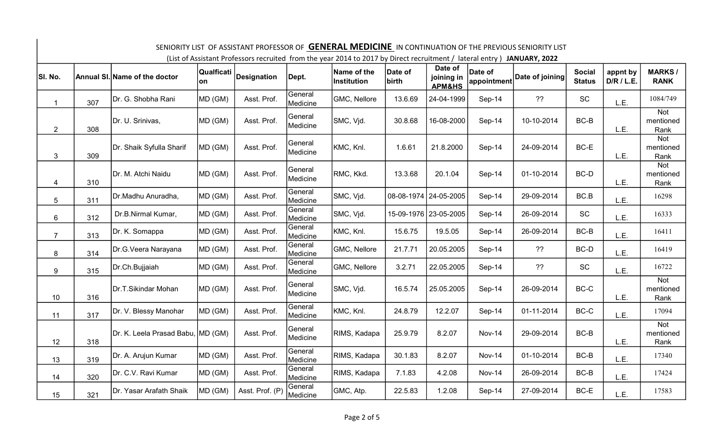| SENIORITY LIST OF ASSISTANT PROFESSOR OF <b>GENERAL MEDICINE</b> IN CONTINUATION OF THE PREVIOUS SENIORITY LIST<br>(List of Assistant Professors recruited from the year 2014 to 2017 by Direct recruitment / lateral entry ) JANUARY, 2022 |     |                                   |                  |                 |                     |                                   |                  |                                            |                        |                 |                                |                        |                                 |
|---------------------------------------------------------------------------------------------------------------------------------------------------------------------------------------------------------------------------------------------|-----|-----------------------------------|------------------|-----------------|---------------------|-----------------------------------|------------------|--------------------------------------------|------------------------|-----------------|--------------------------------|------------------------|---------------------------------|
| SI. No.                                                                                                                                                                                                                                     |     | Annual SI. Name of the doctor     | Qualficati<br>on | Designation     | Dept.               | Name of the<br><b>Institution</b> | Date of<br>birth | Date of<br>joining in<br><b>APM&amp;HS</b> | Date of<br>appointment | Date of joining | <b>Social</b><br><b>Status</b> | appnt by<br>D/R / L.E. | <b>MARKS/</b><br><b>RANK</b>    |
| $\mathbf{1}$                                                                                                                                                                                                                                | 307 | Dr. G. Shobha Rani                | MD (GM)          | Asst. Prof.     | General<br>Medicine | GMC, Nellore                      | 13.6.69          | 24-04-1999                                 | Sep-14                 | ??              | <b>SC</b>                      | L.E.                   | 1084/749                        |
| $\mathbf{2}$                                                                                                                                                                                                                                | 308 | Dr. U. Srinivas,                  | MD (GM)          | Asst. Prof.     | General<br>Medicine | SMC, Vjd.                         | 30.8.68          | 16-08-2000                                 | Sep-14                 | 10-10-2014      | BC-B                           | L.E.                   | <b>Not</b><br>mentioned<br>Rank |
| 3                                                                                                                                                                                                                                           | 309 | Dr. Shaik Syfulla Sharif          | MD (GM)          | Asst. Prof.     | General<br>Medicine | KMC, Knl.                         | 1.6.61           | 21.8.2000                                  | Sep-14                 | 24-09-2014      | BC-E                           | L.E.                   | <b>Not</b><br>mentioned<br>Rank |
| 4                                                                                                                                                                                                                                           | 310 | Dr. M. Atchi Naidu                | MD (GM)          | Asst. Prof.     | General<br>Medicine | RMC, Kkd.                         | 13.3.68          | 20.1.04                                    | Sep-14                 | 01-10-2014      | BC-D                           | L.E.                   | <b>Not</b><br>mentioned<br>Rank |
| 5                                                                                                                                                                                                                                           | 311 | Dr.Madhu Anuradha,                | MD (GM)          | Asst. Prof.     | General<br>Medicine | SMC, Vjd.                         |                  | 08-08-1974 24-05-2005                      | Sep-14                 | 29-09-2014      | BC.B                           | L.E.                   | 16298                           |
| 6                                                                                                                                                                                                                                           | 312 | Dr.B.Nirmal Kumar,                | MD (GM)          | Asst. Prof.     | General<br>Medicine | SMC, Vjd.                         |                  | 15-09-1976 23-05-2005                      | Sep-14                 | 26-09-2014      | <b>SC</b>                      | L.E.                   | 16333                           |
| $\overline{7}$                                                                                                                                                                                                                              | 313 | Dr. K. Somappa                    | MD (GM)          | Asst. Prof.     | General<br>Medicine | KMC, Knl.                         | 15.6.75          | 19.5.05                                    | Sep-14                 | 26-09-2014      | BC-B                           | L.E.                   | 16411                           |
| 8                                                                                                                                                                                                                                           | 314 | Dr.G.Veera Narayana               | MD (GM)          | Asst. Prof.     | General<br>Medicine | GMC, Nellore                      | 21.7.71          | 20.05.2005                                 | Sep-14                 | ??              | BC-D                           | L.E.                   | 16419                           |
| 9                                                                                                                                                                                                                                           | 315 | Dr.Ch.Bujjaiah                    | MD (GM)          | Asst. Prof.     | General<br>Medicine | GMC, Nellore                      | 3.2.71           | 22.05.2005                                 | Sep-14                 | ??              | <b>SC</b>                      | L.E.                   | 16722                           |
| 10                                                                                                                                                                                                                                          | 316 | Dr.T.Sikindar Mohan               | MD (GM)          | Asst. Prof.     | General<br>Medicine | SMC, Vjd.                         | 16.5.74          | 25.05.2005                                 | Sep-14                 | 26-09-2014      | $BC-C$                         | L.E.                   | <b>Not</b><br>mentioned<br>Rank |
| 11                                                                                                                                                                                                                                          | 317 | Dr. V. Blessy Manohar             | MD (GM)          | Asst. Prof.     | General<br>Medicine | KMC, Knl.                         | 24.8.79          | 12.2.07                                    | Sep-14                 | 01-11-2014      | BC-C                           | L.E.                   | 17094                           |
| 12                                                                                                                                                                                                                                          | 318 | Dr. K. Leela Prasad Babu, MD (GM) |                  | Asst. Prof.     | General<br>Medicine | RIMS, Kadapa                      | 25.9.79          | 8.2.07                                     | <b>Nov-14</b>          | 29-09-2014      | BC-B                           | L.E.                   | <b>Not</b><br>mentioned<br>Rank |
| 13                                                                                                                                                                                                                                          | 319 | Dr. A. Arujun Kumar               | MD (GM)          | Asst. Prof.     | General<br>Medicine | RIMS, Kadapa                      | 30.1.83          | 8.2.07                                     | <b>Nov-14</b>          | 01-10-2014      | BC-B                           | L.E.                   | 17340                           |
| 14                                                                                                                                                                                                                                          | 320 | Dr. C.V. Ravi Kumar               | MD (GM)          | Asst. Prof.     | General<br>Medicine | RIMS, Kadapa                      | 7.1.83           | 4.2.08                                     | <b>Nov-14</b>          | 26-09-2014      | BC-B                           | L.E.                   | 17424                           |
| 15                                                                                                                                                                                                                                          | 321 | Dr. Yasar Arafath Shaik           | MD (GM)          | Asst. Prof. (P) | General<br>Medicine | GMC, Atp.                         | 22.5.83          | 1.2.08                                     | Sep-14                 | 27-09-2014      | BC-E                           | L.E.                   | 17583                           |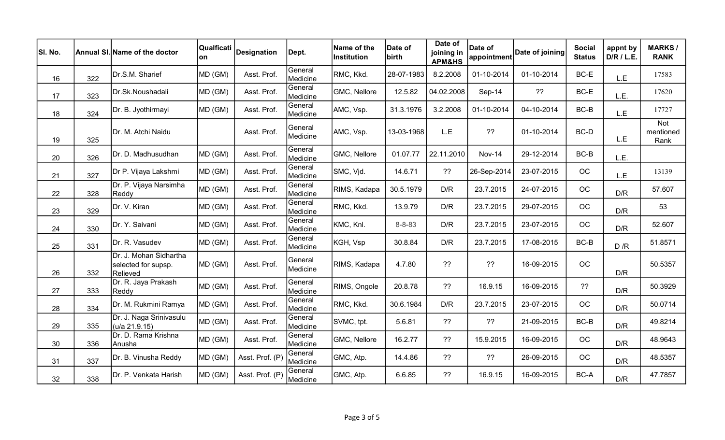| SI. No. |     | Annual SI. Name of the doctor                             | Qualficati<br>on | Designation     | Dept.               | Name of the<br>Institution | Date of<br>birth | Date of<br>joining in<br><b>APM&amp;HS</b> | Date of<br>appointment | Date of joining | <b>Social</b><br><b>Status</b> | appnt by<br>D/R / L.E. | <b>MARKS/</b><br><b>RANK</b>    |
|---------|-----|-----------------------------------------------------------|------------------|-----------------|---------------------|----------------------------|------------------|--------------------------------------------|------------------------|-----------------|--------------------------------|------------------------|---------------------------------|
| 16      | 322 | Dr.S.M. Sharief                                           | MD (GM)          | Asst. Prof.     | General<br>Medicine | RMC, Kkd.                  | 28-07-1983       | 8.2.2008                                   | 01-10-2014             | 01-10-2014      | BC-E                           | L.E                    | 17583                           |
| 17      | 323 | Dr.Sk.Noushadali                                          | MD (GM)          | Asst. Prof.     | General<br>Medicine | GMC, Nellore               | 12.5.82          | 04.02.2008                                 | Sep-14                 | ??              | BC-E                           | L.E.                   | 17620                           |
| 18      | 324 | Dr. B. Jyothirmayi                                        | MD (GM)          | Asst. Prof.     | General<br>Medicine | AMC, Vsp.                  | 31.3.1976        | 3.2.2008                                   | 01-10-2014             | 04-10-2014      | BC-B                           | L.E                    | 17727                           |
| 19      | 325 | Dr. M. Atchi Naidu                                        |                  | Asst. Prof.     | General<br>Medicine | AMC, Vsp.                  | 13-03-1968       | L.E                                        | ??                     | 01-10-2014      | BC-D                           | L.E                    | <b>Not</b><br>mentioned<br>Rank |
| 20      | 326 | Dr. D. Madhusudhan                                        | MD (GM)          | Asst. Prof.     | General<br>Medicine | GMC, Nellore               | 01.07.77         | 22.11.2010                                 | <b>Nov-14</b>          | 29-12-2014      | $BC-B$                         | L.E.                   |                                 |
| 21      | 327 | Dr P. Vijaya Lakshmi                                      | MD (GM)          | Asst. Prof.     | General<br>Medicine | SMC, Vjd.                  | 14.6.71          | ??                                         | 26-Sep-2014            | 23-07-2015      | OC                             | L.E                    | 13139                           |
| 22      | 328 | Dr. P. Vijaya Narsimha<br>Reddy                           | MD (GM)          | Asst. Prof.     | General<br>Medicine | RIMS, Kadapa               | 30.5.1979        | D/R                                        | 23.7.2015              | 24-07-2015      | <b>OC</b>                      | D/R                    | 57.607                          |
| 23      | 329 | Dr. V. Kiran                                              | MD (GM)          | Asst. Prof.     | General<br>Medicine | RMC, Kkd.                  | 13.9.79          | D/R                                        | 23.7.2015              | 29-07-2015      | OC                             | D/R                    | 53                              |
| 24      | 330 | Dr. Y. Saivani                                            | MD (GM)          | Asst. Prof.     | General<br>Medicine | KMC, Knl.                  | $8 - 8 - 83$     | D/R                                        | 23.7.2015              | 23-07-2015      | OC                             | D/R                    | 52.607                          |
| 25      | 331 | Dr. R. Vasudev                                            | MD (GM)          | Asst. Prof.     | General<br>Medicine | KGH, Vsp                   | 30.8.84          | D/R                                        | 23.7.2015              | 17-08-2015      | $BC-B$                         | D/R                    | 51.8571                         |
| 26      | 332 | Dr. J. Mohan Sidhartha<br>selected for supsp.<br>Relieved | MD (GM)          | Asst. Prof.     | General<br>Medicine | RIMS, Kadapa               | 4.7.80           | ??                                         | ??                     | 16-09-2015      | OC                             | D/R                    | 50.5357                         |
| 27      | 333 | Dr. R. Jaya Prakash<br>Reddy                              | MD (GM)          | Asst. Prof.     | General<br>Medicine | RIMS, Ongole               | 20.8.78          | ??                                         | 16.9.15                | 16-09-2015      | ??                             | D/R                    | 50.3929                         |
| 28      | 334 | Dr. M. Rukmini Ramya                                      | MD (GM)          | Asst. Prof.     | General<br>Medicine | RMC, Kkd.                  | 30.6.1984        | D/R                                        | 23.7.2015              | 23-07-2015      | OC                             | D/R                    | 50.0714                         |
| 29      | 335 | Dr. J. Naga Srinivasulu<br>(u/a 21.9.15)                  | MD (GM)          | Asst. Prof.     | General<br>Medicine | SVMC, tpt.                 | 5.6.81           | ??                                         | ??                     | 21-09-2015      | $BC-B$                         | D/R                    | 49.8214                         |
| 30      | 336 | Dr. D. Rama Krishna<br>Anusha                             | MD (GM)          | Asst. Prof.     | General<br>Medicine | GMC, Nellore               | 16.2.77          | ??                                         | 15.9.2015              | 16-09-2015      | OC                             | D/R                    | 48.9643                         |
| 31      | 337 | Dr. B. Vinusha Reddy                                      | MD (GM)          | Asst. Prof. (P) | General<br>Medicine | GMC, Atp.                  | 14.4.86          | ??                                         | ??                     | 26-09-2015      | OC                             | D/R                    | 48.5357                         |
| 32      | 338 | Dr. P. Venkata Harish                                     | MD (GM)          | Asst. Prof. (P) | General<br>Medicine | GMC, Atp.                  | 6.6.85           | ??                                         | 16.9.15                | 16-09-2015      | BC-A                           | D/R                    | 47.7857                         |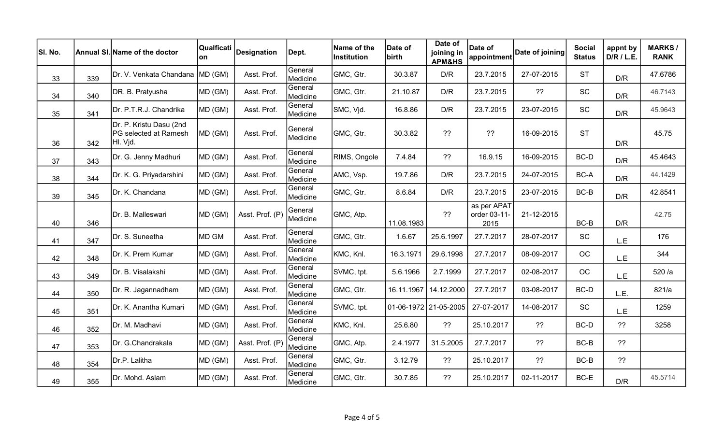| SI. No. |     | Annual SI. Name of the doctor                                | on      | Qualficati  Designation | Dept.               | Name of the<br><b>Institution</b> | Date of<br>birth | Date of<br>joining in<br><b>APM&amp;HS</b> | Date of<br>appointment              | Date of joining | <b>Social</b><br><b>Status</b> | appnt by<br>D/R / L.E. | <b>MARKS/</b><br><b>RANK</b> |
|---------|-----|--------------------------------------------------------------|---------|-------------------------|---------------------|-----------------------------------|------------------|--------------------------------------------|-------------------------------------|-----------------|--------------------------------|------------------------|------------------------------|
| 33      | 339 | Dr. V. Venkata Chandana MD (GM)                              |         | Asst. Prof.             | General<br>Medicine | GMC, Gtr.                         | 30.3.87          | D/R                                        | 23.7.2015                           | 27-07-2015      | <b>ST</b>                      | D/R                    | 47.6786                      |
| 34      | 340 | DR. B. Pratyusha                                             | MD (GM) | Asst. Prof.             | General<br>Medicine | GMC, Gtr.                         | 21.10.87         | D/R                                        | 23.7.2015                           | ??              | SC                             | D/R                    | 46.7143                      |
| 35      | 341 | Dr. P.T.R.J. Chandrika                                       | MD (GM) | Asst. Prof.             | General<br>Medicine | SMC, Vjd.                         | 16.8.86          | D/R                                        | 23.7.2015                           | 23-07-2015      | SC                             | D/R                    | 45.9643                      |
| 36      | 342 | Dr. P. Kristu Dasu (2nd<br>PG selected at Ramesh<br>HI. Vjd. | MD (GM) | Asst. Prof.             | General<br>Medicine | GMC, Gtr.                         | 30.3.82          | ??                                         | ??                                  | 16-09-2015      | <b>ST</b>                      | D/R                    | 45.75                        |
| 37      | 343 | Dr. G. Jenny Madhuri                                         | MD (GM) | Asst. Prof.             | General<br>Medicine | RIMS, Ongole                      | 7.4.84           | ??                                         | 16.9.15                             | 16-09-2015      | BC-D                           | D/R                    | 45.4643                      |
| 38      | 344 | Dr. K. G. Priyadarshini                                      | MD (GM) | Asst. Prof.             | General<br>Medicine | AMC, Vsp.                         | 19.7.86          | D/R                                        | 23.7.2015                           | 24-07-2015      | BC-A                           | D/R                    | 44.1429                      |
| 39      | 345 | Dr. K. Chandana                                              | MD (GM) | Asst. Prof.             | General<br>Medicine | GMC, Gtr.                         | 8.6.84           | D/R                                        | 23.7.2015                           | 23-07-2015      | $BC-B$                         | D/R                    | 42.8541                      |
| 40      | 346 | Dr. B. Malleswari                                            | MD (GM) | Asst. Prof. (P          | General<br>Medicine | GMC, Atp.                         | 11.08.1983       | ??                                         | as per APAT<br>order 03-11-<br>2015 | 21-12-2015      | BC-B                           | D/R                    | 42.75                        |
| 41      | 347 | Dr. S. Suneetha                                              | MD GM   | Asst. Prof.             | General<br>Medicine | GMC, Gtr.                         | 1.6.67           | 25.6.1997                                  | 27.7.2017                           | 28-07-2017      | SC                             | L.E                    | 176                          |
| 42      | 348 | Dr. K. Prem Kumar                                            | MD (GM) | Asst. Prof.             | General<br>Medicine | KMC, Knl.                         | 16.3.1971        | 29.6.1998                                  | 27.7.2017                           | 08-09-2017      | OC                             | L.E                    | 344                          |
| 43      | 349 | Dr. B. Visalakshi                                            | MD (GM) | Asst. Prof.             | General<br>Medicine | SVMC, tpt.                        | 5.6.1966         | 2.7.1999                                   | 27.7.2017                           | 02-08-2017      | <b>OC</b>                      | L.E                    | 520/a                        |
| 44      | 350 | Dr. R. Jagannadham                                           | MD (GM) | Asst. Prof.             | General<br>Medicine | GMC, Gtr.                         | 16.11.1967       | 14.12.2000                                 | 27.7.2017                           | 03-08-2017      | BC-D                           | L.E.                   | 821/a                        |
| 45      | 351 | Dr. K. Anantha Kumari                                        | MD (GM) | Asst. Prof.             | General<br>Medicine | SVMC, tpt.                        |                  | 01-06-1972 21-05-2005                      | 27-07-2017                          | 14-08-2017      | SC                             | L.E                    | 1259                         |
| 46      | 352 | Dr. M. Madhavi                                               | MD (GM) | Asst. Prof.             | General<br>Medicine | KMC, Knl.                         | 25.6.80          | ??                                         | 25.10.2017                          | ??              | BC-D                           | ??                     | 3258                         |
| 47      | 353 | Dr. G.Chandrakala                                            | MD (GM) | Asst. Prof. (P          | General<br>Medicine | GMC, Atp.                         | 2.4.1977         | 31.5.2005                                  | 27.7.2017                           | ??              | BC-B                           | ??                     |                              |
| 48      | 354 | Dr.P. Lalitha                                                | MD (GM) | Asst. Prof.             | General<br>Medicine | GMC, Gtr.                         | 3.12.79          | ??                                         | 25.10.2017                          | ??              | BC-B                           | ??                     |                              |
| 49      | 355 | Dr. Mohd. Aslam                                              | MD (GM) | Asst. Prof.             | General<br>Medicine | GMC, Gtr.                         | 30.7.85          | ??                                         | 25.10.2017                          | 02-11-2017      | BC-E                           | D/R                    | 45.5714                      |